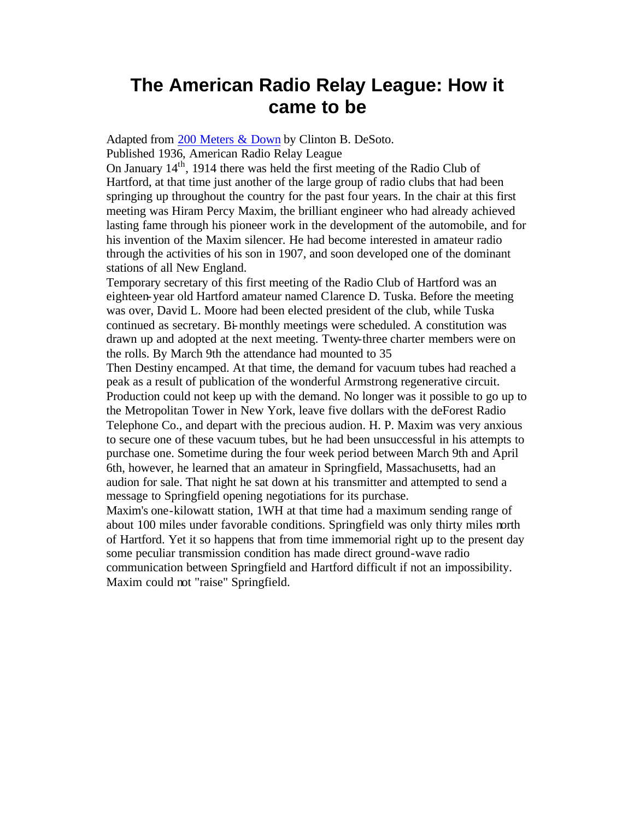## **The American Radio Relay League: How it came to be**

Adapted from 200 Meters & Down by Clinton B. DeSoto.

Published 1936, American Radio Relay League

On January 14th, 1914 there was held the first meeting of the Radio Club of Hartford, at that time just another of the large group of radio clubs that had been springing up throughout the country for the past four years. In the chair at this first meeting was Hiram Percy Maxim, the brilliant engineer who had already achieved lasting fame through his pioneer work in the development of the automobile, and for his invention of the Maxim silencer. He had become interested in amateur radio through the activities of his son in 1907, and soon developed one of the dominant stations of all New England.

Temporary secretary of this first meeting of the Radio Club of Hartford was an eighteen-year old Hartford amateur named Clarence D. Tuska. Before the meeting was over, David L. Moore had been elected president of the club, while Tuska continued as secretary. Bi-monthly meetings were scheduled. A constitution was drawn up and adopted at the next meeting. Twenty-three charter members were on the rolls. By March 9th the attendance had mounted to 35

Then Destiny encamped. At that time, the demand for vacuum tubes had reached a peak as a result of publication of the wonderful Armstrong regenerative circuit. Production could not keep up with the demand. No longer was it possible to go up to the Metropolitan Tower in New York, leave five dollars with the deForest Radio Telephone Co., and depart with the precious audion. H. P. Maxim was very anxious to secure one of these vacuum tubes, but he had been unsuccessful in his attempts to purchase one. Sometime during the four week period between March 9th and April 6th, however, he learned that an amateur in Springfield, Massachusetts, had an audion for sale. That night he sat down at his transmitter and attempted to send a message to Springfield opening negotiations for its purchase.

Maxim's one-kilowatt station, 1WH at that time had a maximum sending range of about 100 miles under favorable conditions. Springfield was only thirty miles north of Hartford. Yet it so happens that from time immemorial right up to the present day some peculiar transmission condition has made direct ground-wave radio communication between Springfield and Hartford difficult if not an impossibility. Maxim could not "raise" Springfield.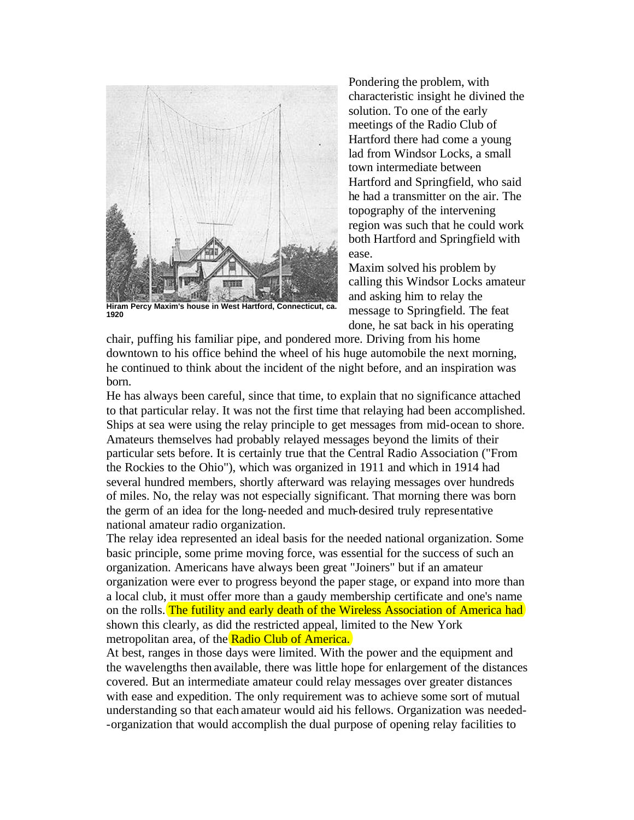

**Hiram Percy Maxim's house in West Hartford, Connecticut, ca. 1920**

Pondering the problem, with characteristic insight he divined the solution. To one of the early meetings of the Radio Club of Hartford there had come a young lad from Windsor Locks, a small town intermediate between Hartford and Springfield, who said he had a transmitter on the air. The topography of the intervening region was such that he could work both Hartford and Springfield with ease.

Maxim solved his problem by calling this Windsor Locks amateur and asking him to relay the message to Springfield. The feat done, he sat back in his operating

chair, puffing his familiar pipe, and pondered more. Driving from his home downtown to his office behind the wheel of his huge automobile the next morning, he continued to think about the incident of the night before, and an inspiration was born.

He has always been careful, since that time, to explain that no significance attached to that particular relay. It was not the first time that relaying had been accomplished. Ships at sea were using the relay principle to get messages from mid-ocean to shore. Amateurs themselves had probably relayed messages beyond the limits of their particular sets before. It is certainly true that the Central Radio Association ("From the Rockies to the Ohio"), which was organized in 1911 and which in 1914 had several hundred members, shortly afterward was relaying messages over hundreds of miles. No, the relay was not especially significant. That morning there was born the germ of an idea for the long-needed and much-desired truly representative national amateur radio organization.

The relay idea represented an ideal basis for the needed national organization. Some basic principle, some prime moving force, was essential for the success of such an organization. Americans have always been great "Joiners" but if an amateur organization were ever to progress beyond the paper stage, or expand into more than a local club, it must offer more than a gaudy membership certificate and one's name on the rolls. The futility and early death of the Wireless Association of America had shown this clearly, as did the restricted appeal, limited to the New York metropolitan area, of the Radio Club of America.

At best, ranges in those days were limited. With the power and the equipment and the wavelengths then available, there was little hope for enlargement of the distances covered. But an intermediate amateur could relay messages over greater distances with ease and expedition. The only requirement was to achieve some sort of mutual understanding so that each amateur would aid his fellows. Organization was needed- -organization that would accomplish the dual purpose of opening relay facilities to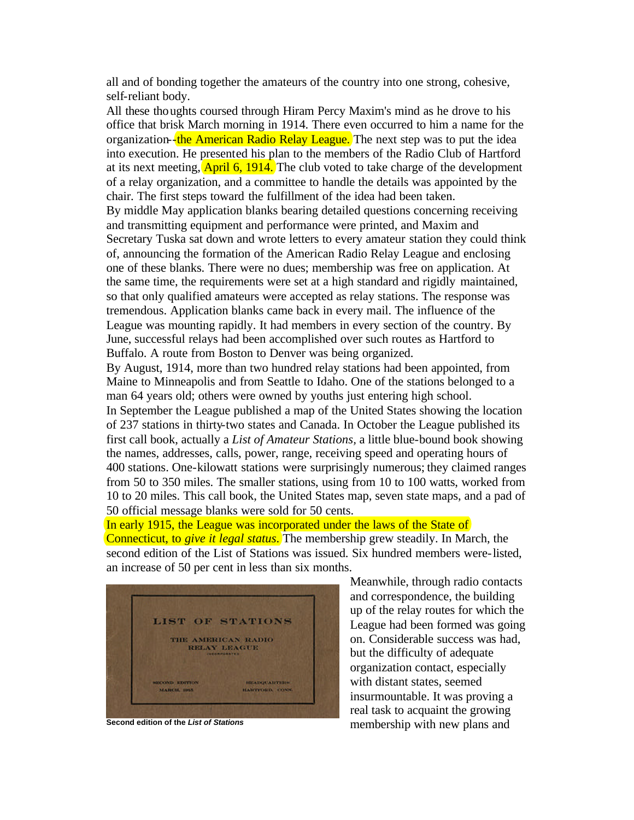all and of bonding together the amateurs of the country into one strong, cohesive, self-reliant body.

All these thoughts coursed through Hiram Percy Maxim's mind as he drove to his office that brisk March morning in 1914. There even occurred to him a name for the organization- $\frac{1}{2}$ the American Radio Relay League. The next step was to put the idea into execution. He presented his plan to the members of the Radio Club of Hartford at its next meeting,  $[April 6, 1914.]$  The club voted to take charge of the development of a relay organization, and a committee to handle the details was appointed by the chair. The first steps toward the fulfillment of the idea had been taken.

By middle May application blanks bearing detailed questions concerning receiving and transmitting equipment and performance were printed, and Maxim and Secretary Tuska sat down and wrote letters to every amateur station they could think of, announcing the formation of the American Radio Relay League and enclosing one of these blanks. There were no dues; membership was free on application. At the same time, the requirements were set at a high standard and rigidly maintained, so that only qualified amateurs were accepted as relay stations. The response was tremendous. Application blanks came back in every mail. The influence of the League was mounting rapidly. It had members in every section of the country. By June, successful relays had been accomplished over such routes as Hartford to Buffalo. A route from Boston to Denver was being organized.

By August, 1914, more than two hundred relay stations had been appointed, from Maine to Minneapolis and from Seattle to Idaho. One of the stations belonged to a man 64 years old; others were owned by youths just entering high school.

In September the League published a map of the United States showing the location of 237 stations in thirty-two states and Canada. In October the League published its first call book, actually a *List of Amateur Stations,* a little blue-bound book showing the names, addresses, calls, power, range, receiving speed and operating hours of 400 stations. One-kilowatt stations were surprisingly numerous; they claimed ranges from 50 to 350 miles. The smaller stations, using from 10 to 100 watts, worked from 10 to 20 miles. This call book, the United States map, seven state maps, and a pad of 50 official message blanks were sold for 50 cents.

In early 1915, the League was incorporated under the laws of the State of Connecticut, to *give it legal status*. The membership grew steadily. In March, the second edition of the List of Stations was issued. Six hundred members were-listed, an increase of 50 per cent in less than six months.



Meanwhile, through radio contacts and correspondence, the building up of the relay routes for which the League had been formed was going on. Considerable success was had, but the difficulty of adequate organization contact, especially with distant states, seemed insurmountable. It was proving a real task to acquaint the growing membership with new plans and **Second edition of the** *List of Stations*